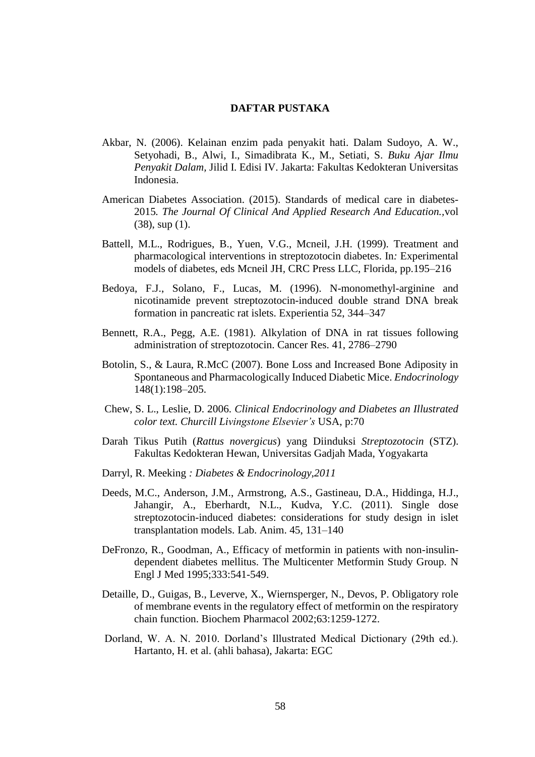## **DAFTAR PUSTAKA**

- Akbar, N. (2006). Kelainan enzim pada penyakit hati. Dalam Sudoyo, A. W., Setyohadi, B., Alwi, I., Simadibrata K., M., Setiati, S. *Buku Ajar Ilmu Penyakit Dalam,* Jilid I. Edisi IV. Jakarta: Fakultas Kedokteran Universitas Indonesia.
- American Diabetes Association. (2015). Standards of medical care in diabetes-2015*. The Journal Of Clinical And Applied Research And Education.,*vol (38), sup (1).
- Battell, M.L., Rodrigues, B., Yuen, V.G., Mcneil, J.H. (1999). Treatment and pharmacological interventions in streptozotocin diabetes. In*:* Experimental models of diabetes, eds Mcneil JH*,* CRC Press LLC, Florida, pp.195–216
- Bedoya, F.J., Solano, F., Lucas, M. (1996). N-monomethyl-arginine and nicotinamide prevent streptozotocin-induced double strand DNA break formation in pancreatic rat islets. Experientia 52, 344–347
- Bennett, R.A., Pegg, A.E. (1981). Alkylation of DNA in rat tissues following administration of streptozotocin. Cancer Res. 41, 2786–2790
- Botolin, S., & Laura, R.McC (2007). Bone Loss and Increased Bone Adiposity in Spontaneous and Pharmacologically Induced Diabetic Mice. *Endocrinology* 148(1):198–205.
- Chew, S. L., Leslie, D. 2006. *Clinical Endocrinology and Diabetes an Illustrated color text. Churcill Livingstone Elsevier's* USA, p:70
- Darah Tikus Putih (*Rattus novergicus*) yang Diinduksi *Streptozotocin* (STZ). Fakultas Kedokteran Hewan, Universitas Gadjah Mada, Yogyakarta
- Darryl, R. Meeking *: Diabetes & Endocrinology,2011*
- Deeds, M.C., Anderson, J.M., Armstrong, A.S., Gastineau, D.A., Hiddinga, H.J., Jahangir, A., Eberhardt, N.L., Kudva, Y.C. (2011). Single dose streptozotocin-induced diabetes: considerations for study design in islet transplantation models. Lab. Anim. 45, 131–140
- DeFronzo, R., Goodman, A., Efficacy of metformin in patients with non-insulindependent diabetes mellitus. The Multicenter Metformin Study Group. N Engl J Med 1995;333:541-549.
- Detaille, D., Guigas, B., Leverve, X., Wiernsperger, N., Devos, P. Obligatory role of membrane events in the regulatory effect of metformin on the respiratory chain function. Biochem Pharmacol 2002;63:1259-1272.
- Dorland, W. A. N. 2010. Dorland's Illustrated Medical Dictionary (29th ed.). Hartanto, H. et al. (ahli bahasa), Jakarta: EGC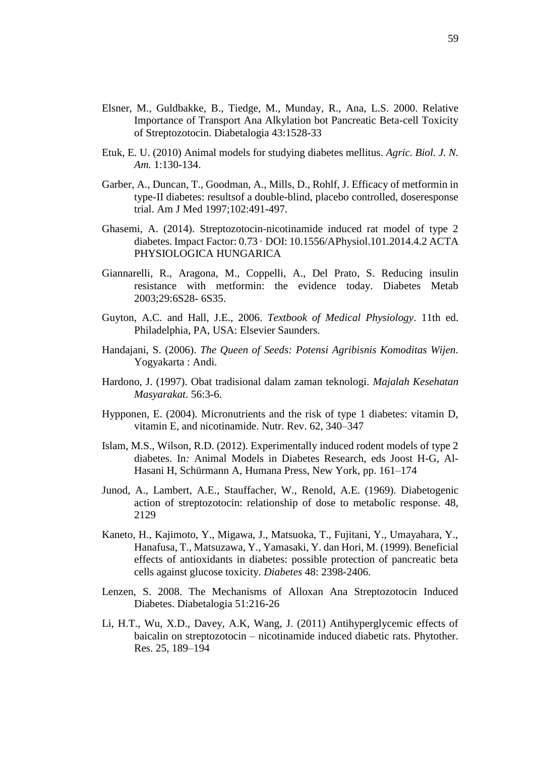- Elsner, M., Guldbakke, B., Tiedge, M., Munday, R., Ana, L.S. 2000. Relative Importance of Transport Ana Alkylation bot Pancreatic Beta-cell Toxicity of Streptozotocin. Diabetalogia 43:1528-33
- Etuk, E. U. (2010) Animal models for studying diabetes mellitus. *Agric. Biol. J. N. Am.* 1:130-134.
- Garber, A., Duncan, T., Goodman, A., Mills, D., Rohlf, J. Efficacy of metformin in type-II diabetes: resultsof a double-blind, placebo controlled, doseresponse trial. Am J Med 1997;102:491-497.
- Ghasemi, A. (2014). Streptozotocin-nicotinamide induced rat model of type 2 diabetes. Impact Factor: 0.73 · DOI: 10.1556/APhysiol.101.2014.4.2 ACTA PHYSIOLOGICA HUNGARICA
- Giannarelli, R., Aragona, M., Coppelli, A., Del Prato, S. Reducing insulin resistance with metformin: the evidence today. Diabetes Metab 2003;29:6S28- 6S35.
- Guyton, A.C. and Hall, J.E., 2006. *Textbook of Medical Physiology*. 11th ed. Philadelphia, PA, USA: Elsevier Saunders.
- Handajani, S. (2006). *The Queen of Seeds: Potensi Agribisnis Komoditas Wijen*. Yogyakarta : Andi.
- Hardono, J. (1997). Obat tradisional dalam zaman teknologi. *Majalah Kesehatan Masyarakat*. 56:3-6.
- Hypponen, E. (2004). Micronutrients and the risk of type 1 diabetes: vitamin D, vitamin E, and nicotinamide. Nutr. Rev. 62, 340–347
- Islam, M.S., Wilson, R.D. (2012). Experimentally induced rodent models of type 2 diabetes. In*:* Animal Models in Diabetes Research, eds Joost H-G, Al-Hasani H, Schürmann A*,* Humana Press, New York, pp. 161–174
- Junod, A., Lambert, A.E., Stauffacher, W., Renold, A.E. (1969). Diabetogenic action of streptozotocin: relationship of dose to metabolic response. 48, 2129
- Kaneto, H., Kajimoto, Y., Migawa, J., Matsuoka, T., Fujitani, Y., Umayahara, Y., Hanafusa, T., Matsuzawa, Y., Yamasaki, Y. dan Hori, M. (1999). Beneficial effects of antioxidants in diabetes: possible protection of pancreatic beta cells against glucose toxicity. *Diabetes* 48: 2398-2406.
- Lenzen, S. 2008. The Mechanisms of Alloxan Ana Streptozotocin Induced Diabetes. Diabetalogia 51:216-26
- Li, H.T., Wu, X.D., Davey, A.K, Wang, J. (2011) Antihyperglycemic effects of baicalin on streptozotocin – nicotinamide induced diabetic rats. Phytother. Res. 25, 189–194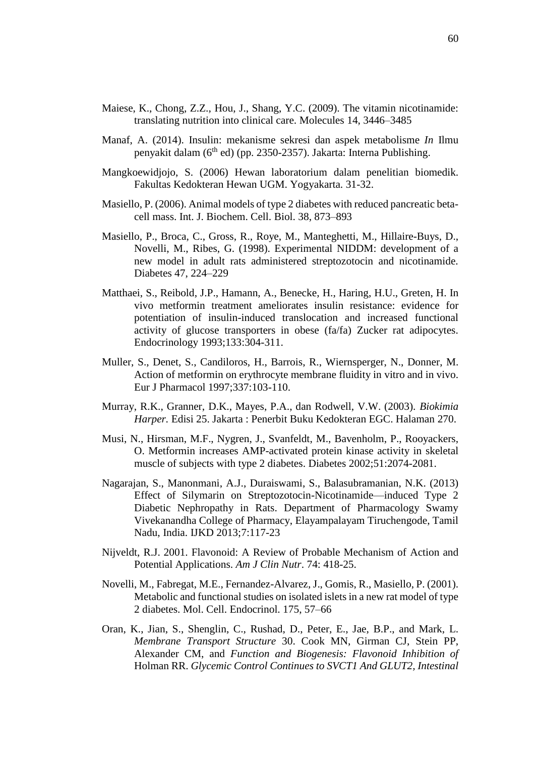- Maiese, K., Chong, Z.Z., Hou, J., Shang, Y.C. (2009). The vitamin nicotinamide: translating nutrition into clinical care. Molecules 14, 3446–3485
- Manaf, A. (2014). Insulin: mekanisme sekresi dan aspek metabolisme *In* Ilmu penyakit dalam (6th ed) (pp. 2350-2357). Jakarta: Interna Publishing.
- Mangkoewidjojo, S. (2006) Hewan laboratorium dalam penelitian biomedik. Fakultas Kedokteran Hewan UGM. Yogyakarta. 31-32.
- Masiello, P. (2006). Animal models of type 2 diabetes with reduced pancreatic betacell mass. Int. J. Biochem. Cell. Biol. 38, 873–893
- Masiello, P., Broca, C., Gross, R., Roye, M., Manteghetti, M., Hillaire-Buys, D., Novelli, M., Ribes, G. (1998). Experimental NIDDM: development of a new model in adult rats administered streptozotocin and nicotinamide. Diabetes 47, 224–229
- Matthaei, S., Reibold, J.P., Hamann, A., Benecke, H., Haring, H.U., Greten, H. In vivo metformin treatment ameliorates insulin resistance: evidence for potentiation of insulin-induced translocation and increased functional activity of glucose transporters in obese (fa/fa) Zucker rat adipocytes. Endocrinology 1993;133:304-311.
- Muller, S., Denet, S., Candiloros, H., Barrois, R., Wiernsperger, N., Donner, M. Action of metformin on erythrocyte membrane fluidity in vitro and in vivo. Eur J Pharmacol 1997;337:103-110.
- Murray, R.K., Granner, D.K., Mayes, P.A., dan Rodwell, V.W. (2003). *Biokimia Harper.* Edisi 25. Jakarta : Penerbit Buku Kedokteran EGC. Halaman 270.
- Musi, N., Hirsman, M.F., Nygren, J., Svanfeldt, M., Bavenholm, P., Rooyackers, O. Metformin increases AMP-activated protein kinase activity in skeletal muscle of subjects with type 2 diabetes. Diabetes 2002;51:2074-2081.
- Nagarajan, S., Manonmani, A.J., Duraiswami, S., Balasubramanian, N.K. (2013) Effect of Silymarin on Streptozotocin-Nicotinamide—induced Type 2 Diabetic Nephropathy in Rats. Department of Pharmacology Swamy Vivekanandha College of Pharmacy, Elayampalayam Tiruchengode, Tamil Nadu, India. IJKD 2013;7:117-23
- Nijveldt, R.J. 2001. Flavonoid: A Review of Probable Mechanism of Action and Potential Applications. *Am J Clin Nutr*. 74: 418-25.
- Novelli, M., Fabregat, M.E., Fernandez-Alvarez, J., Gomis, R., Masiello, P. (2001). Metabolic and functional studies on isolated islets in a new rat model of type 2 diabetes. Mol. Cell. Endocrinol. 175, 57–66
- Oran, K., Jian, S., Shenglin, C., Rushad, D., Peter, E., Jae, B.P., and Mark, L. *Membrane Transport Structure* 30. Cook MN, Girman CJ, Stein PP, Alexander CM, and *Function and Biogenesis: Flavonoid Inhibition of*  Holman RR. *Glycemic Control Continues to SVCT1 And GLUT2, Intestinal*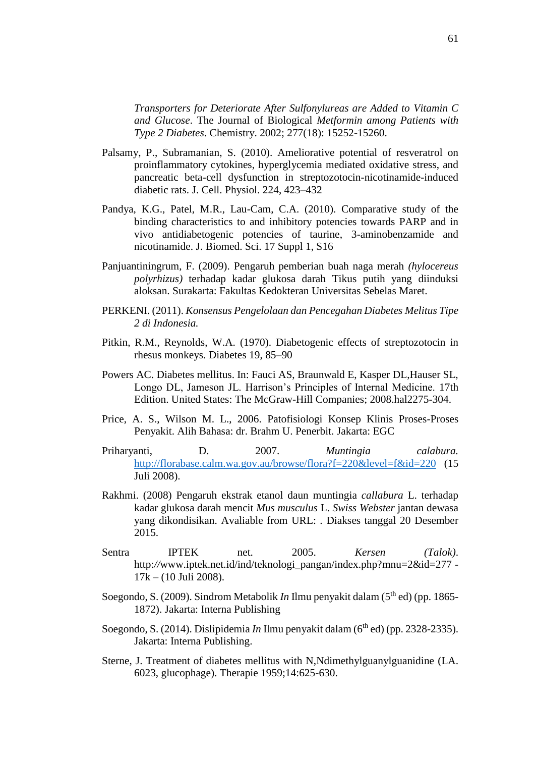*Transporters for Deteriorate After Sulfonylureas are Added to Vitamin C and Glucose*. The Journal of Biological *Metformin among Patients with Type 2 Diabetes*. Chemistry. 2002; 277(18): 15252-15260.

- Palsamy, P., Subramanian, S. (2010). Ameliorative potential of resveratrol on proinflammatory cytokines, hyperglycemia mediated oxidative stress, and pancreatic beta-cell dysfunction in streptozotocin-nicotinamide-induced diabetic rats. J. Cell. Physiol. 224, 423–432
- Pandya, K.G., Patel, M.R., Lau-Cam, C.A. (2010). Comparative study of the binding characteristics to and inhibitory potencies towards PARP and in vivo antidiabetogenic potencies of taurine, 3-aminobenzamide and nicotinamide. J. Biomed. Sci. 17 Suppl 1, S16
- Panjuantiningrum, F. (2009). Pengaruh pemberian buah naga merah *(hylocereus polyrhizus)* terhadap kadar glukosa darah Tikus putih yang diinduksi aloksan. Surakarta: Fakultas Kedokteran Universitas Sebelas Maret.
- PERKENI. (2011). *Konsensus Pengelolaan dan Pencegahan Diabetes Melitus Tipe 2 di Indonesia.*
- Pitkin, R.M., Reynolds, W.A. (1970). Diabetogenic effects of streptozotocin in rhesus monkeys. Diabetes 19, 85–90
- Powers AC. Diabetes mellitus. In: Fauci AS, Braunwald E, Kasper DL,Hauser SL, Longo DL, Jameson JL. Harrison's Principles of Internal Medicine. 17th Edition. United States: The McGraw-Hill Companies; 2008.hal2275-304.
- Price, A. S., Wilson M. L., 2006. Patofisiologi Konsep Klinis Proses-Proses Penyakit. Alih Bahasa: dr. Brahm U. Penerbit. Jakarta: EGC
- Priharyanti, D. 2007. *Muntingia calabura.* <http://florabase.calm.wa.gov.au/browse/flora?f=220&level=f&id=220> (15 Juli 2008).
- Rakhmi. (2008) Pengaruh ekstrak etanol daun muntingia *callabura* L. terhadap kadar glukosa darah mencit *Mus musculus* L. *Swiss Webster* jantan dewasa yang dikondisikan. Avaliable from URL: . Diakses tanggal 20 Desember 2015.
- Sentra IPTEK net. 2005. *Kersen (Talok)*. http://www.iptek.net.id/ind/teknologi\_pangan/index.php?mnu=2&id=277 -17k – (10 Juli 2008).
- Soegondo, S. (2009). Sindrom Metabolik *In* Ilmu penyakit dalam (5th ed) (pp. 1865- 1872). Jakarta: Interna Publishing
- Soegondo, S. (2014). Dislipidemia *In* Ilmu penyakit dalam (6<sup>th</sup> ed) (pp. 2328-2335). Jakarta: Interna Publishing.
- Sterne, J. Treatment of diabetes mellitus with N,Ndimethylguanylguanidine (LA. 6023, glucophage). Therapie 1959;14:625-630.